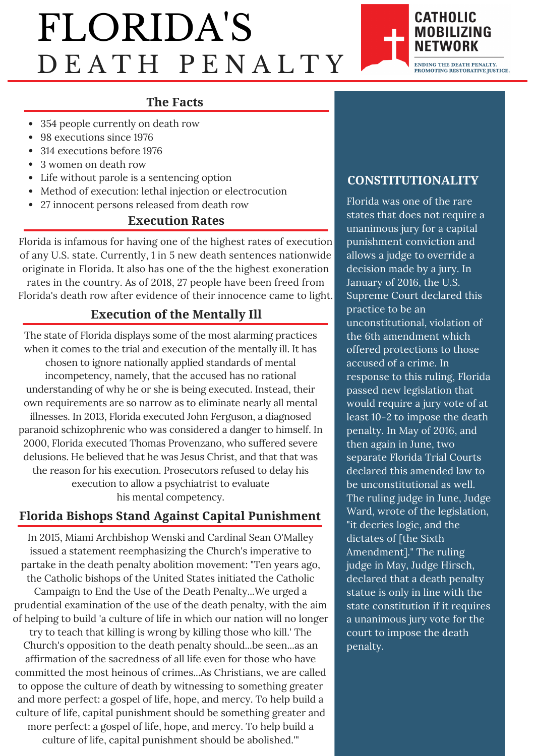## FLORIDA'S D E A T H P E N A L T Y



#### **The Facts**

- 354 people currently on death row
- 98 executions since 1976
- 314 executions before 1976
- 3 women on death row
- Life without parole is a sentencing option
- Method of execution: lethal injection or electrocution
- 27 innocent persons released from death row

#### **Execution Rates**

Florida is infamous for having one of the highest rates of execution of any U.S. state. Currently, 1 in 5 new death sentences nationwide originate in Florida. It also has one of the the highest exoneration rates in the country. As of 2018, 27 people have been freed from Florida's death row after evidence of their innocence came to light.

#### **Execution of the Mentally Ill**

The state of Florida displays some of the most alarming practices when it comes to the trial and execution of the mentally ill. It has chosen to ignore nationally applied standards of mental incompetency, namely, that the accused has no rational understanding of why he or she is being executed. Instead, their own requirements are so narrow as to eliminate nearly all mental illnesses. In 2013, Florida executed John Ferguson, a diagnosed paranoid schizophrenic who was considered a danger to himself. In 2000, Florida executed Thomas Provenzano, who suffered severe delusions. He believed that he was Jesus Christ, and that that was the reason for his execution. Prosecutors refused to delay his execution to allow a psychiatrist to evaluate his mental competency.

#### **Florida Bishops Stand Against Capital Punishment**

In 2015, Miami Archbishop Wenski and Cardinal Sean O'Malley issued a statement reemphasizing the Church's imperative to partake in the death penalty abolition movement: "Ten years ago, the Catholic bishops of the United States initiated the Catholic

Campaign to End the Use of the Death Penalty...We urged a prudential examination of the use of the death penalty, with the aim of helping to build 'a culture of life in which our nation will no longer

try to teach that killing is wrong by killing those who kill.' The Church's opposition to the death penalty should...be seen...as an affirmation of the sacredness of all life even for those who have committed the most heinous of crimes...As Christians, we are called to oppose the culture of death by witnessing to something greater and more perfect: a gospel of life, hope, and mercy. To help build a culture of life, capital punishment should be something greater and more perfect: a gospel of life, hope, and mercy. To help build a culture of life, capital punishment should be abolished.'"

#### **CONSTITUTIONALITY**

Florida was one of the rare states that does not require a unanimous jury for a capital punishment conviction and allows a judge to override a decision made by a jury. In January of 2016, the U.S. Supreme Court declared this practice to be an unconstitutional, violation of the 6th amendment which offered protections to those accused of a crime. In response to this ruling, Florida passed new legislation that would require a jury vote of at least 10-2 to impose the death penalty. In May of 2016, and then again in June, two separate Florida Trial Courts declared this amended law to be unconstitutional as well. The ruling judge in June, Judge Ward, wrote of the legislation, "it decries logic, and the dictates of [the Sixth Amendment]." The ruling judge in May, Judge Hirsch, declared that a death penalty statue is only in line with the state constitution if it requires a unanimous jury vote for the court to impose the death penalty.